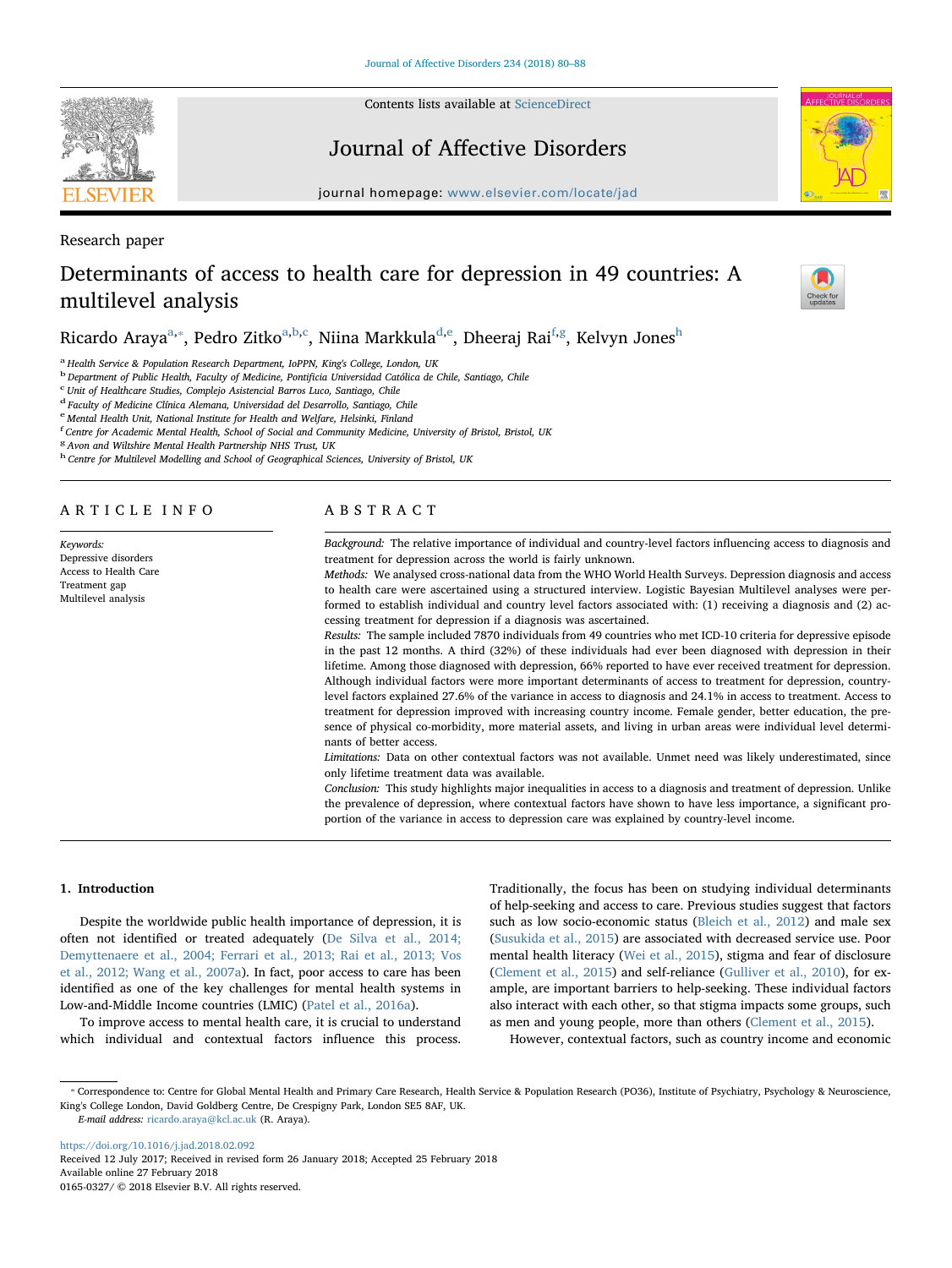Contents lists available at [ScienceDirect](http://www.sciencedirect.com/science/journal/01650327)

Journal of Affective Disorders

journal homepage: [www.elsevier.com/locate/jad](https://www.elsevier.com/locate/jad)

Research paper

# Determinants of access to health care for depression in 49 countries: A multilevel analysis

Ricardo Araya<sup>[a,](#page-0-0)</sup>\*, Pedro Zitko<sup>a,[b](#page-0-2)[,c](#page-0-3)</sup>, Niina Markkula<sup>[d](#page-0-4),[e](#page-0-5)</sup>, Dheeraj Rai<sup>[f,](#page-0-6)[g](#page-0-7)</sup>, Kelvyn Jones<sup>[h](#page-0-8)</sup>

<span id="page-0-0"></span><sup>a</sup> Health Service & Population Research Department, IoPPN, King's College, London, UK

<span id="page-0-2"></span><sup>b</sup> Department of Public Health, Faculty of Medicine, Pontificia Universidad Católica de Chile, Santiago, Chile

<span id="page-0-3"></span> $\degree$  Unit of Healthcare Studies, Complejo Asistencial Barros Luco, Santiago, Chile

<span id="page-0-4"></span><sup>d</sup> Faculty of Medicine Clínica Alemana, Universidad del Desarrollo, Santiago, Chile

<span id="page-0-5"></span><sup>e</sup> Mental Health Unit, National Institute for Health and Welfare, Helsinki, Finland

<span id="page-0-6"></span><sup>f</sup> Centre for Academic Mental Health, School of Social and Community Medicine, University of Bristol, Bristol, UK

<span id="page-0-7"></span><sup>8</sup> Avon and Wiltshire Mental Health Partnership NHS Trust, UK

<span id="page-0-8"></span><sup>h</sup> Centre for Multilevel Modelling and School of Geographical Sciences, University of Bristol, UK

### ARTICLE INFO

Keywords: Depressive disorders Access to Health Care Treatment gap Multilevel analysis

### ABSTRACT

Background: The relative importance of individual and country-level factors influencing access to diagnosis and treatment for depression across the world is fairly unknown.

Methods: We analysed cross-national data from the WHO World Health Surveys. Depression diagnosis and access to health care were ascertained using a structured interview. Logistic Bayesian Multilevel analyses were performed to establish individual and country level factors associated with: (1) receiving a diagnosis and (2) accessing treatment for depression if a diagnosis was ascertained.

Results: The sample included 7870 individuals from 49 countries who met ICD-10 criteria for depressive episode in the past 12 months. A third (32%) of these individuals had ever been diagnosed with depression in their lifetime. Among those diagnosed with depression, 66% reported to have ever received treatment for depression. Although individual factors were more important determinants of access to treatment for depression, countrylevel factors explained 27.6% of the variance in access to diagnosis and 24.1% in access to treatment. Access to treatment for depression improved with increasing country income. Female gender, better education, the presence of physical co-morbidity, more material assets, and living in urban areas were individual level determinants of better access.

Limitations: Data on other contextual factors was not available. Unmet need was likely underestimated, since only lifetime treatment data was available.

Conclusion: This study highlights major inequalities in access to a diagnosis and treatment of depression. Unlike the prevalence of depression, where contextual factors have shown to have less importance, a significant proportion of the variance in access to depression care was explained by country-level income.

### 1. Introduction

Despite the worldwide public health importance of depression, it is often not identified or treated adequately ([De Silva et al., 2014;](#page-7-0) [Demyttenaere et al., 2004; Ferrari et al., 2013; Rai et al., 2013; Vos](#page-7-0) [et al., 2012; Wang et al., 2007a](#page-7-0)). In fact, poor access to care has been identified as one of the key challenges for mental health systems in Low-and-Middle Income countries (LMIC) ([Patel et al., 2016a](#page-7-1)).

To improve access to mental health care, it is crucial to understand which individual and contextual factors influence this process.

Traditionally, the focus has been on studying individual determinants of help-seeking and access to care. Previous studies suggest that factors such as low socio-economic status ([Bleich et al., 2012\)](#page-7-2) and male sex ([Susukida et al., 2015](#page-7-3)) are associated with decreased service use. Poor mental health literacy [\(Wei et al., 2015](#page-8-0)), stigma and fear of disclosure ([Clement et al., 2015\)](#page-7-4) and self-reliance [\(Gulliver et al., 2010](#page-7-5)), for example, are important barriers to help-seeking. These individual factors also interact with each other, so that stigma impacts some groups, such as men and young people, more than others ([Clement et al., 2015](#page-7-4)).

However, contextual factors, such as country income and economic

<span id="page-0-1"></span>⁎ Correspondence to: Centre for Global Mental Health and Primary Care Research, Health Service & Population Research (PO36), Institute of Psychiatry, Psychology & Neuroscience, King's College London, David Goldberg Centre, De Crespigny Park, London SE5 8AF, UK.

E-mail address: [ricardo.araya@kcl.ac.uk](mailto:ricardo.araya@kcl.ac.uk) (R. Araya).

<https://doi.org/10.1016/j.jad.2018.02.092>

Received 12 July 2017; Received in revised form 26 January 2018; Accepted 25 February 2018 Available online 27 February 2018

0165-0327/ © 2018 Elsevier B.V. All rights reserved.





Check for<br>[T](http://crossmark.crossref.org/dialog/?doi=10.1016/j.jad.2018.02.092&domain=pdf)indates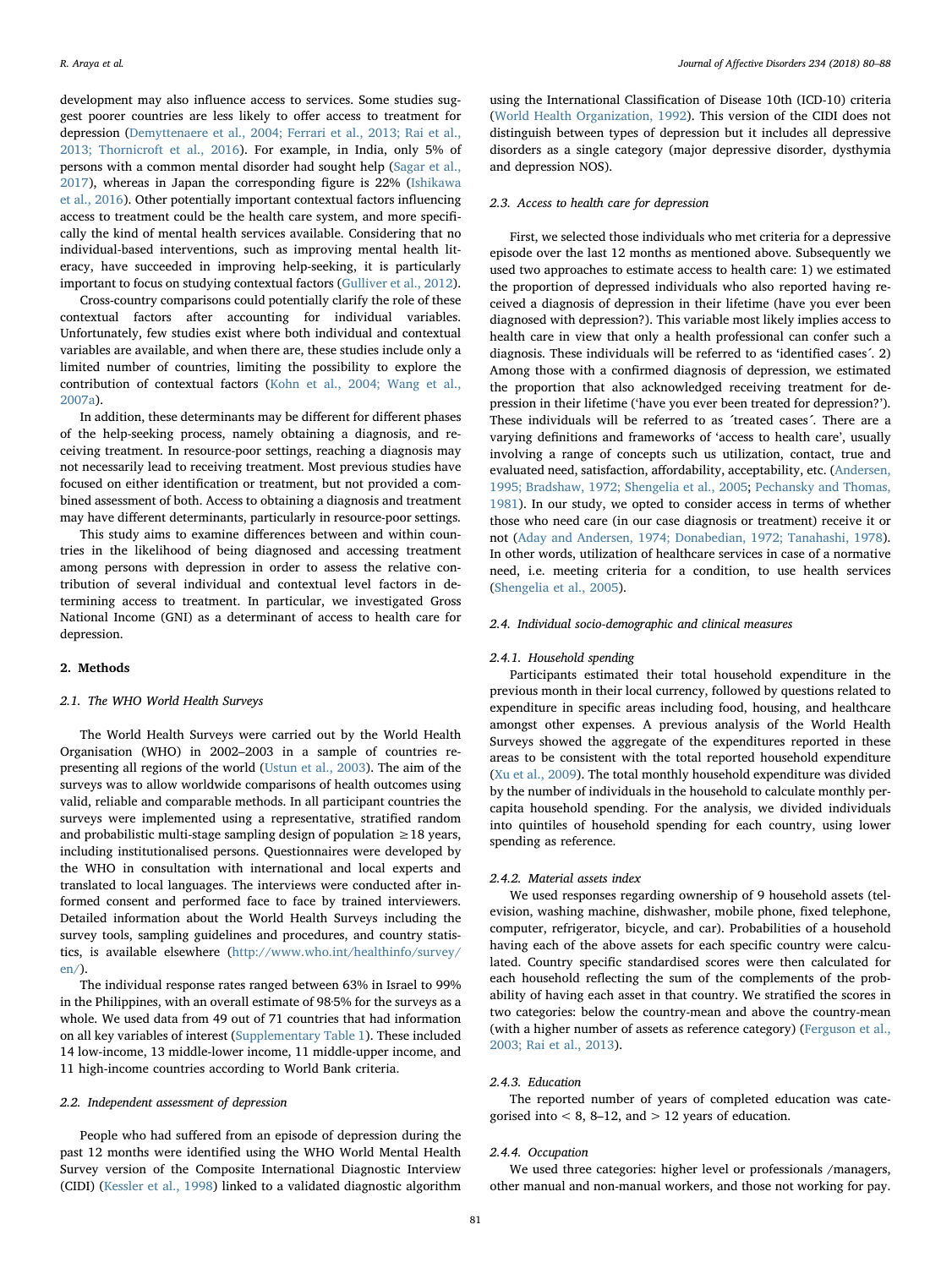development may also influence access to services. Some studies suggest poorer countries are less likely to offer access to treatment for depression [\(Demyttenaere et al., 2004; Ferrari et al., 2013; Rai et al.,](#page-7-6) [2013; Thornicroft et al., 2016\)](#page-7-6). For example, in India, only 5% of persons with a common mental disorder had sought help [\(Sagar et al.,](#page-7-7) [2017\)](#page-7-7), whereas in Japan the corresponding figure is 22% [\(Ishikawa](#page-7-8) [et al., 2016](#page-7-8)). Other potentially important contextual factors influencing access to treatment could be the health care system, and more specifically the kind of mental health services available. Considering that no individual-based interventions, such as improving mental health literacy, have succeeded in improving help-seeking, it is particularly important to focus on studying contextual factors ([Gulliver et al., 2012](#page-7-9)).

Cross-country comparisons could potentially clarify the role of these contextual factors after accounting for individual variables. Unfortunately, few studies exist where both individual and contextual variables are available, and when there are, these studies include only a limited number of countries, limiting the possibility to explore the contribution of contextual factors [\(Kohn et al., 2004; Wang et al.,](#page-7-10) [2007a\)](#page-7-10).

In addition, these determinants may be different for different phases of the help-seeking process, namely obtaining a diagnosis, and receiving treatment. In resource-poor settings, reaching a diagnosis may not necessarily lead to receiving treatment. Most previous studies have focused on either identification or treatment, but not provided a combined assessment of both. Access to obtaining a diagnosis and treatment may have different determinants, particularly in resource-poor settings.

This study aims to examine differences between and within countries in the likelihood of being diagnosed and accessing treatment among persons with depression in order to assess the relative contribution of several individual and contextual level factors in determining access to treatment. In particular, we investigated Gross National Income (GNI) as a determinant of access to health care for depression.

### 2. Methods

### 2.1. The WHO World Health Surveys

The World Health Surveys were carried out by the World Health Organisation (WHO) in 2002–2003 in a sample of countries representing all regions of the world [\(Ustun et al., 2003\)](#page-8-1). The aim of the surveys was to allow worldwide comparisons of health outcomes using valid, reliable and comparable methods. In all participant countries the surveys were implemented using a representative, stratified random and probabilistic multi-stage sampling design of population ≥18 years, including institutionalised persons. Questionnaires were developed by the WHO in consultation with international and local experts and translated to local languages. The interviews were conducted after informed consent and performed face to face by trained interviewers. Detailed information about the World Health Surveys including the survey tools, sampling guidelines and procedures, and country statistics, is available elsewhere [\(http://www.who.int/healthinfo/survey/](http://www.who.int/healthinfo/survey/en/) [en/\)](http://www.who.int/healthinfo/survey/en/).

The individual response rates ranged between 63% in Israel to 99% in the Philippines, with an overall estimate of 98·5% for the surveys as a whole. We used data from 49 out of 71 countries that had information on all key variables of interest (Supplementary Table 1). These included 14 low-income, 13 middle-lower income, 11 middle-upper income, and 11 high-income countries according to World Bank criteria.

### 2.2. Independent assessment of depression

People who had suffered from an episode of depression during the past 12 months were identified using the WHO World Mental Health Survey version of the Composite International Diagnostic Interview (CIDI) [\(Kessler et al., 1998](#page-7-11)) linked to a validated diagnostic algorithm

using the International Classification of Disease 10th (ICD-10) criteria ([World Health Organization, 1992\)](#page-7-12). This version of the CIDI does not distinguish between types of depression but it includes all depressive disorders as a single category (major depressive disorder, dysthymia and depression NOS).

### 2.3. Access to health care for depression

First, we selected those individuals who met criteria for a depressive episode over the last 12 months as mentioned above. Subsequently we used two approaches to estimate access to health care: 1) we estimated the proportion of depressed individuals who also reported having received a diagnosis of depression in their lifetime (have you ever been diagnosed with depression?). This variable most likely implies access to health care in view that only a health professional can confer such a diagnosis. These individuals will be referred to as 'identified cases´. 2) Among those with a confirmed diagnosis of depression, we estimated the proportion that also acknowledged receiving treatment for depression in their lifetime ('have you ever been treated for depression?'). These individuals will be referred to as ´treated cases´. There are a varying definitions and frameworks of 'access to health care', usually involving a range of concepts such us utilization, contact, true and evaluated need, satisfaction, affordability, acceptability, etc. [\(Andersen,](#page-7-13) [1995; Bradshaw, 1972; Shengelia et al., 2005;](#page-7-13) [Pechansky and Thomas,](#page-7-14) [1981\)](#page-7-14). In our study, we opted to consider access in terms of whether those who need care (in our case diagnosis or treatment) receive it or not [\(Aday and Andersen, 1974; Donabedian, 1972; Tanahashi, 1978](#page-7-15)). In other words, utilization of healthcare services in case of a normative need, i.e. meeting criteria for a condition, to use health services ([Shengelia et al., 2005](#page-7-16)).

### 2.4. Individual socio-demographic and clinical measures

### 2.4.1. Household spending

Participants estimated their total household expenditure in the previous month in their local currency, followed by questions related to expenditure in specific areas including food, housing, and healthcare amongst other expenses. A previous analysis of the World Health Surveys showed the aggregate of the expenditures reported in these areas to be consistent with the total reported household expenditure ([Xu et al., 2009\)](#page-8-2). The total monthly household expenditure was divided by the number of individuals in the household to calculate monthly percapita household spending. For the analysis, we divided individuals into quintiles of household spending for each country, using lower spending as reference.

### 2.4.2. Material assets index

We used responses regarding ownership of 9 household assets (television, washing machine, dishwasher, mobile phone, fixed telephone, computer, refrigerator, bicycle, and car). Probabilities of a household having each of the above assets for each specific country were calculated. Country specific standardised scores were then calculated for each household reflecting the sum of the complements of the probability of having each asset in that country. We stratified the scores in two categories: below the country-mean and above the country-mean (with a higher number of assets as reference category) [\(Ferguson et al.,](#page-7-17) [2003; Rai et al., 2013](#page-7-17)).

### 2.4.3. Education

The reported number of years of completed education was categorised into  $< 8$ , 8-12, and  $> 12$  years of education.

### 2.4.4. Occupation

We used three categories: higher level or professionals /managers, other manual and non-manual workers, and those not working for pay.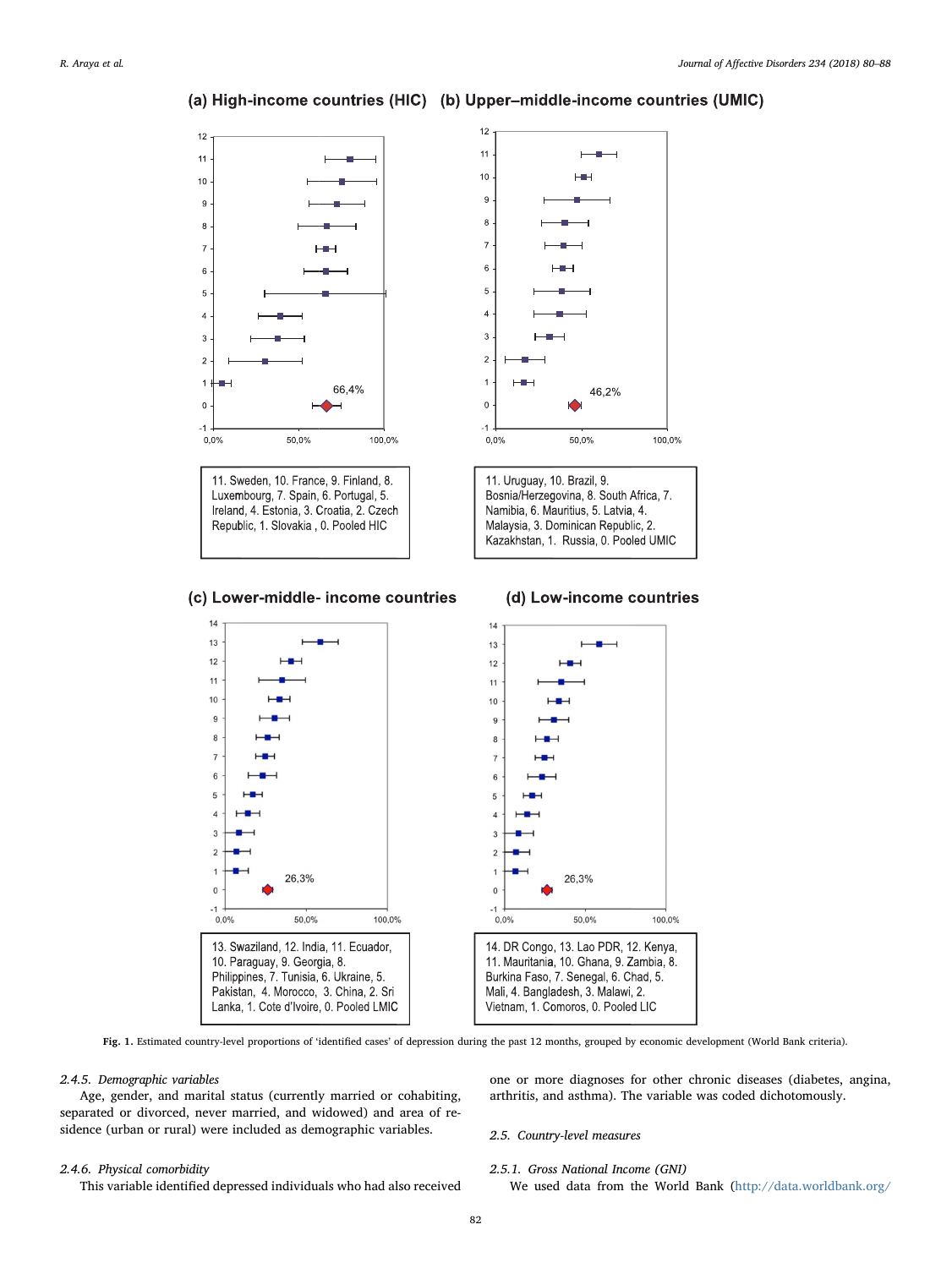#### $12$  $12$  $11$ Е  $11$  $10$ HIH  $10$ g  $\boldsymbol{9}$  $\mathbf{a}$  $\overline{8}$  $\bar{7}$  $\overline{7}$  $\epsilon$  $\overline{6}$ 5 5  $\overline{a}$  $\overline{4}$  $\overline{3}$ 3  $\overline{c}$  $\overline{2}$  $\overline{1}$  $\overline{1}$  $H^+$ 66,4% 46,2%  $\overline{0}$  $\overline{0}$  $-1$  $-1$ 100,0%  $0,0%$ 50.0% 100,0%  $0,0%$ 50,0% 11. Sweden, 10. France, 9. Finland, 8. 11. Uruguay, 10. Brazil, 9. Luxembourg, 7. Spain, 6. Portugal, 5. Bosnia/Herzegovina, 8. South Africa, 7. Ireland, 4. Estonia, 3. Croatia, 2. Czech Namibia, 6. Mauritius, 5. Latvia, 4. Republic, 1. Slovakia, 0. Pooled HIC Malaysia, 3. Dominican Republic, 2. Kazakhstan, 1. Russia, 0. Pooled UMIC

## <span id="page-2-0"></span>(a) High-income countries (HIC) (b) Upper-middle-income countries (UMIC)

### (c) Lower-middle-income countries



Fig. 1. Estimated country-level proportions of 'identified cases' of depression during the past 12 months, grouped by economic development (World Bank criteria).

### 2.4.5. Demographic variables

Age, gender, and marital status (currently married or cohabiting, separated or divorced, never married, and widowed) and area of residence (urban or rural) were included as demographic variables.

### 2.4.6. Physical comorbidity

This variable identified depressed individuals who had also received

one or more diagnoses for other chronic diseases (diabetes, angina, arthritis, and asthma). The variable was coded dichotomously.

### 2.5. Country-level measures

2.5.1. Gross National Income (GNI)

We used data from the World Bank [\(http://data.worldbank.org/](http://data.worldbank.org/)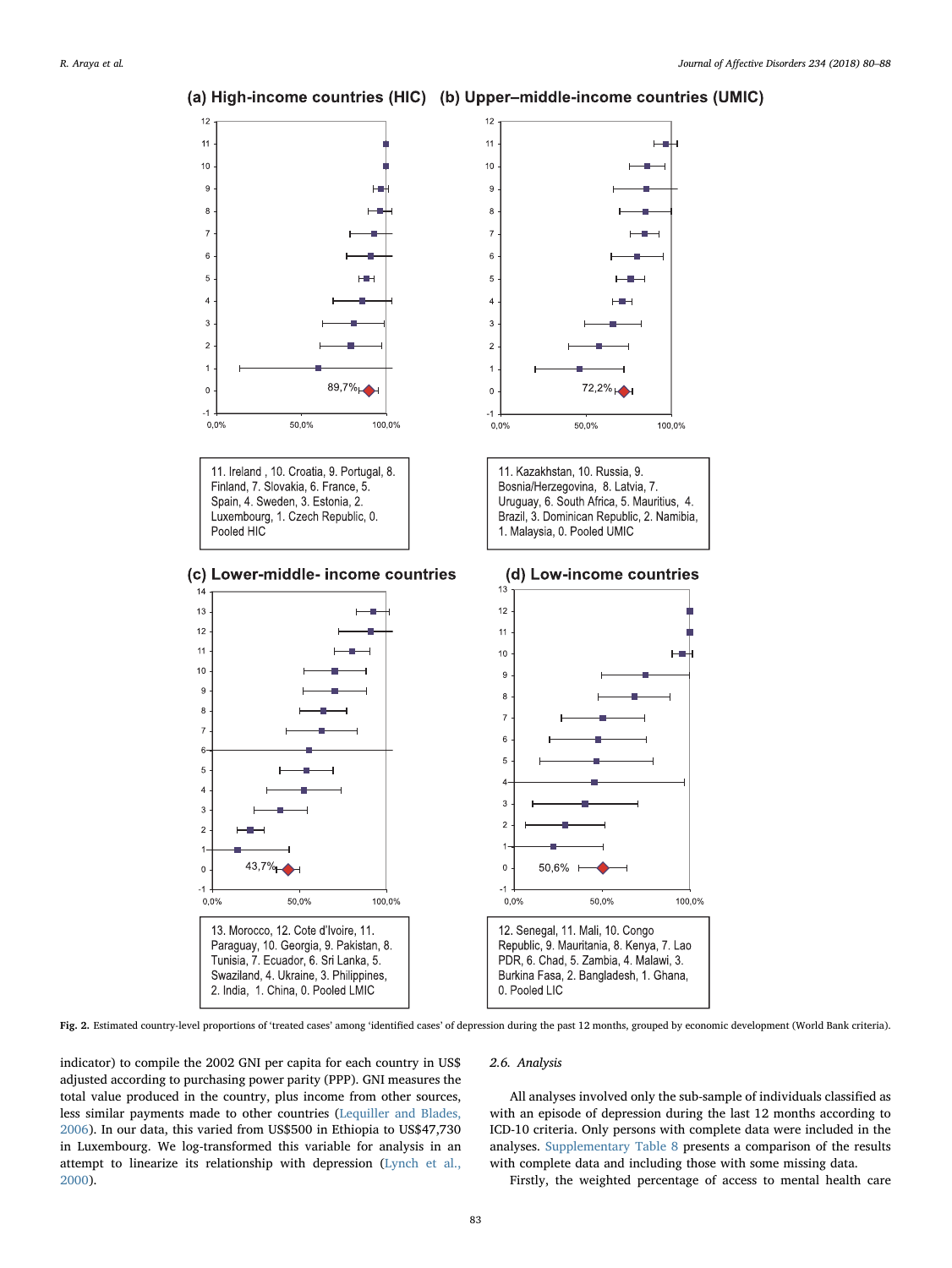<span id="page-3-0"></span>

### (a) High-income countries (HIC) (b) Upper-middle-income countries (UMIC)

Fig. 2. Estimated country-level proportions of 'treated cases' among 'identified cases' of depression during the past 12 months, grouped by economic development (World Bank criteria).

indicator) to compile the 2002 GNI per capita for each country in US\$ adjusted according to purchasing power parity (PPP). GNI measures the total value produced in the country, plus income from other sources, less similar payments made to other countries ([Lequiller and Blades,](#page-7-18) [2006\)](#page-7-18). In our data, this varied from US\$500 in Ethiopia to US\$47,730 in Luxembourg. We log-transformed this variable for analysis in an attempt to linearize its relationship with depression ([Lynch et al.,](#page-7-19) [2000\)](#page-7-19).

### 2.6. Analysis

All analyses involved only the sub-sample of individuals classified as with an episode of depression during the last 12 months according to ICD-10 criteria. Only persons with complete data were included in the analyses. Supplementary Table 8 presents a comparison of the results with complete data and including those with some missing data.

Firstly, the weighted percentage of access to mental health care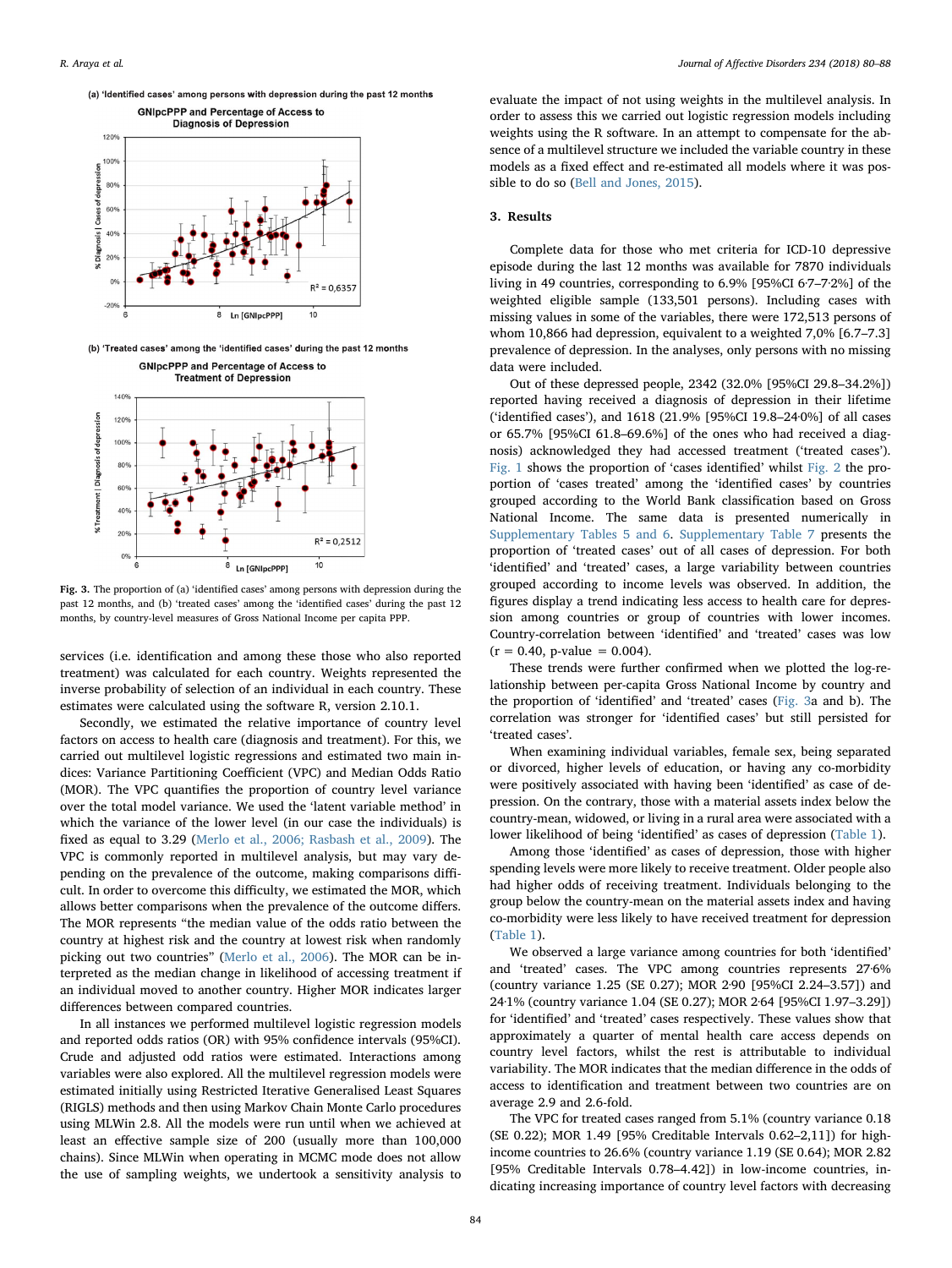

<span id="page-4-0"></span>(a) 'Identified cases' among persons with depression during the past 12 months

(b) 'Treated cases' among the 'identified cases' during the past 12 months **GNIpcPPP and Percentage of Access to** 



Fig. 3. The proportion of (a) 'identified cases' among persons with depression during the past 12 months, and (b) 'treated cases' among the 'identified cases' during the past 12 months, by country-level measures of Gross National Income per capita PPP.

services (i.e. identification and among these those who also reported treatment) was calculated for each country. Weights represented the inverse probability of selection of an individual in each country. These estimates were calculated using the software R, version 2.10.1.

Secondly, we estimated the relative importance of country level factors on access to health care (diagnosis and treatment). For this, we carried out multilevel logistic regressions and estimated two main indices: Variance Partitioning Coefficient (VPC) and Median Odds Ratio (MOR). The VPC quantifies the proportion of country level variance over the total model variance. We used the 'latent variable method' in which the variance of the lower level (in our case the individuals) is fixed as equal to 3.29 ([Merlo et al., 2006; Rasbash et al., 2009](#page-7-20)). The VPC is commonly reported in multilevel analysis, but may vary depending on the prevalence of the outcome, making comparisons difficult. In order to overcome this difficulty, we estimated the MOR, which allows better comparisons when the prevalence of the outcome differs. The MOR represents "the median value of the odds ratio between the country at highest risk and the country at lowest risk when randomly picking out two countries" [\(Merlo et al., 2006](#page-7-20)). The MOR can be interpreted as the median change in likelihood of accessing treatment if an individual moved to another country. Higher MOR indicates larger differences between compared countries.

In all instances we performed multilevel logistic regression models and reported odds ratios (OR) with 95% confidence intervals (95%CI). Crude and adjusted odd ratios were estimated. Interactions among variables were also explored. All the multilevel regression models were estimated initially using Restricted Iterative Generalised Least Squares (RIGLS) methods and then using Markov Chain Monte Carlo procedures using MLWin 2.8. All the models were run until when we achieved at least an effective sample size of 200 (usually more than 100,000 chains). Since MLWin when operating in MCMC mode does not allow the use of sampling weights, we undertook a sensitivity analysis to

evaluate the impact of not using weights in the multilevel analysis. In order to assess this we carried out logistic regression models including weights using the R software. In an attempt to compensate for the absence of a multilevel structure we included the variable country in these models as a fixed effect and re-estimated all models where it was possible to do so ([Bell and Jones, 2015](#page-7-21)).

### 3. Results

Complete data for those who met criteria for ICD-10 depressive episode during the last 12 months was available for 7870 individuals living in 49 countries, corresponding to 6.9% [95%CI 6·7–7·2%] of the weighted eligible sample (133,501 persons). Including cases with missing values in some of the variables, there were 172,513 persons of whom 10,866 had depression, equivalent to a weighted 7,0% [6.7–7.3] prevalence of depression. In the analyses, only persons with no missing data were included.

Out of these depressed people, 2342 (32.0% [95%CI 29.8–34.2%]) reported having received a diagnosis of depression in their lifetime ('identified cases'), and 1618 (21.9% [95%CI 19.8–24·0%] of all cases or 65.7% [95%CI 61.8–69.6%] of the ones who had received a diagnosis) acknowledged they had accessed treatment ('treated cases'). [Fig. 1](#page-2-0) shows the proportion of 'cases identified' whilst [Fig. 2](#page-3-0) the proportion of 'cases treated' among the 'identified cases' by countries grouped according to the World Bank classification based on Gross National Income. The same data is presented numerically in Supplementary Tables 5 and 6. Supplementary Table 7 presents the proportion of 'treated cases' out of all cases of depression. For both 'identified' and 'treated' cases, a large variability between countries grouped according to income levels was observed. In addition, the figures display a trend indicating less access to health care for depression among countries or group of countries with lower incomes. Country-correlation between 'identified' and 'treated' cases was low  $(r = 0.40, p-value = 0.004)$ .

These trends were further confirmed when we plotted the log-relationship between per-capita Gross National Income by country and the proportion of 'identified' and 'treated' cases ([Fig. 3a](#page-4-0) and b). The correlation was stronger for 'identified cases' but still persisted for 'treated cases'.

When examining individual variables, female sex, being separated or divorced, higher levels of education, or having any co-morbidity were positively associated with having been 'identified' as case of depression. On the contrary, those with a material assets index below the country-mean, widowed, or living in a rural area were associated with a lower likelihood of being 'identified' as cases of depression ([Table 1](#page-5-0)).

Among those 'identified' as cases of depression, those with higher spending levels were more likely to receive treatment. Older people also had higher odds of receiving treatment. Individuals belonging to the group below the country-mean on the material assets index and having co-morbidity were less likely to have received treatment for depression ([Table 1](#page-5-0)).

We observed a large variance among countries for both 'identified' and 'treated' cases. The VPC among countries represents 27·6% (country variance 1.25 (SE 0.27); MOR 2·90 [95%CI 2.24–3.57]) and 24·1% (country variance 1.04 (SE 0.27); MOR 2·64 [95%CI 1.97–3.29]) for 'identified' and 'treated' cases respectively. These values show that approximately a quarter of mental health care access depends on country level factors, whilst the rest is attributable to individual variability. The MOR indicates that the median difference in the odds of access to identification and treatment between two countries are on average 2.9 and 2.6-fold.

The VPC for treated cases ranged from 5.1% (country variance 0.18 (SE 0.22); MOR 1.49 [95% Creditable Intervals 0.62–2,11]) for highincome countries to 26.6% (country variance 1.19 (SE 0.64); MOR 2.82 [95% Creditable Intervals 0.78–4.42]) in low-income countries, indicating increasing importance of country level factors with decreasing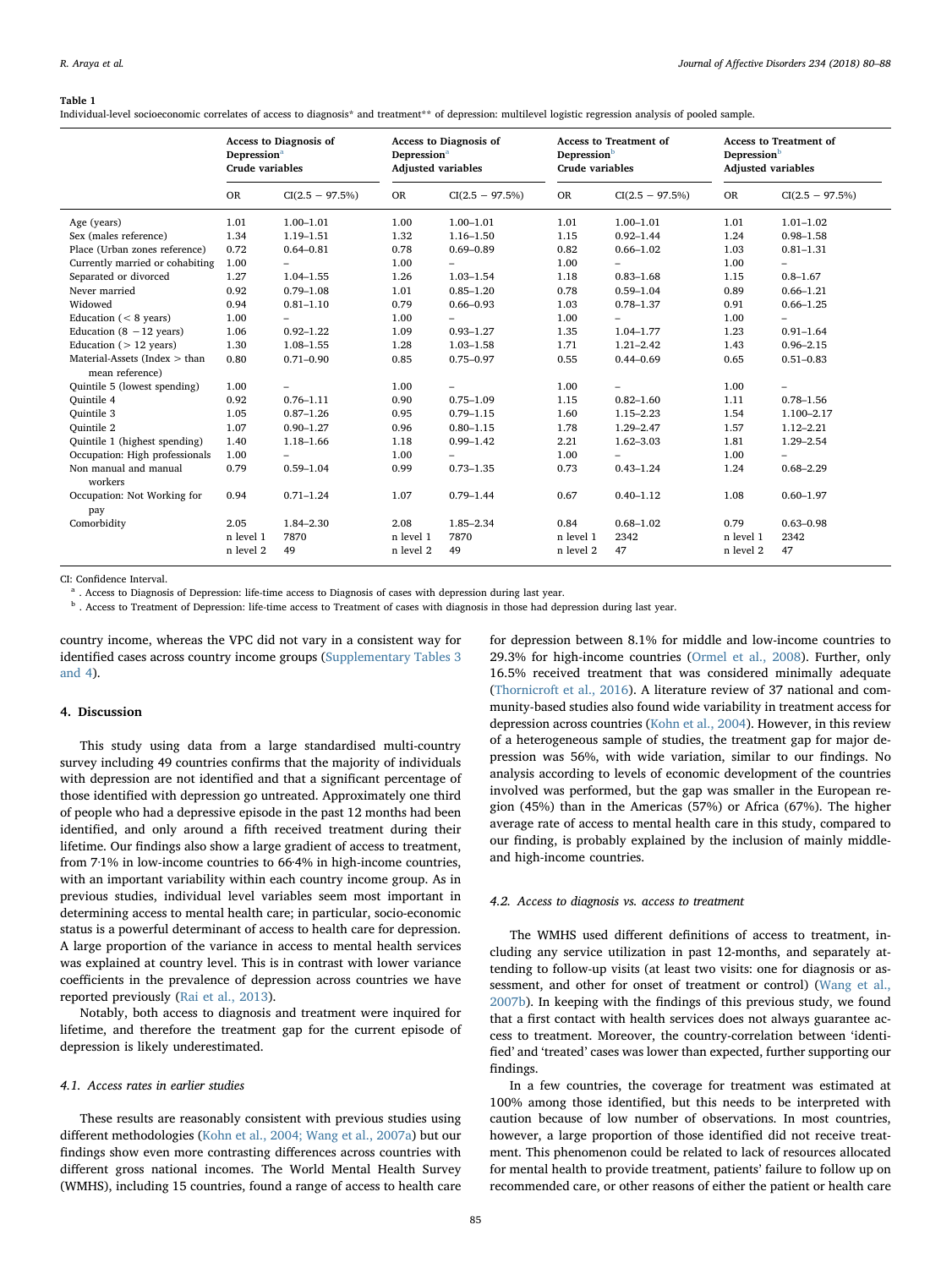#### <span id="page-5-0"></span>Table 1

Individual-level socioeconomic correlates of access to diagnosis\* and treatment\*\* of depression: multilevel logistic regression analysis of pooled sample.

|                                    | Access to Diagnosis of<br><b>Depression</b> <sup>a</sup><br><b>Crude variables</b> |                          | Access to Diagnosis of<br><b>Depression</b> <sup>a</sup><br><b>Adjusted variables</b> |                   | <b>Access to Treatment of</b><br>Depression <sup>b</sup><br>Crude variables |                          | <b>Access to Treatment of</b><br>Depression <sup>b</sup><br><b>Adjusted variables</b> |                   |
|------------------------------------|------------------------------------------------------------------------------------|--------------------------|---------------------------------------------------------------------------------------|-------------------|-----------------------------------------------------------------------------|--------------------------|---------------------------------------------------------------------------------------|-------------------|
|                                    | <b>OR</b>                                                                          | $CI(2.5 - 97.5\%)$       | <b>OR</b>                                                                             | $CI(2.5 - 97.5%)$ | <b>OR</b>                                                                   | $CI(2.5 - 97.5\%)$       | OR                                                                                    | $CI(2.5 - 97.5%)$ |
| Age (years)                        | 1.01                                                                               | $1.00 - 1.01$            | 1.00                                                                                  | $1.00 - 1.01$     | 1.01                                                                        | $1.00 - 1.01$            | 1.01                                                                                  | $1.01 - 1.02$     |
| Sex (males reference)              | 1.34                                                                               | 1.19-1.51                | 1.32                                                                                  | $1.16 - 1.50$     | 1.15                                                                        | $0.92 - 1.44$            | 1.24                                                                                  | $0.98 - 1.58$     |
| Place (Urban zones reference)      | 0.72                                                                               | $0.64 - 0.81$            | 0.78                                                                                  | $0.69 - 0.89$     | 0.82                                                                        | $0.66 - 1.02$            | 1.03                                                                                  | $0.81 - 1.31$     |
| Currently married or cohabiting    | 1.00                                                                               | $\overline{\phantom{0}}$ | 1.00                                                                                  |                   | 1.00                                                                        | $\overline{\phantom{0}}$ | 1.00                                                                                  |                   |
| Separated or divorced              | 1.27                                                                               | $1.04 - 1.55$            | 1.26                                                                                  | $1.03 - 1.54$     | 1.18                                                                        | $0.83 - 1.68$            | 1.15                                                                                  | $0.8 - 1.67$      |
| Never married                      | 0.92                                                                               | $0.79 - 1.08$            | 1.01                                                                                  | $0.85 - 1.20$     | 0.78                                                                        | $0.59 - 1.04$            | 0.89                                                                                  | $0.66 - 1.21$     |
| Widowed                            | 0.94                                                                               | $0.81 - 1.10$            | 0.79                                                                                  | $0.66 - 0.93$     | 1.03                                                                        | $0.78 - 1.37$            | 0.91                                                                                  | $0.66 - 1.25$     |
| Education $(< 8$ years)            | 1.00                                                                               | $\overline{\phantom{0}}$ | 1.00                                                                                  |                   | 1.00                                                                        | $\overline{\phantom{a}}$ | 1.00                                                                                  |                   |
| Education $(8 - 12 \text{ years})$ | 1.06                                                                               | $0.92 - 1.22$            | 1.09                                                                                  | $0.93 - 1.27$     | 1.35                                                                        | $1.04 - 1.77$            | 1.23                                                                                  | $0.91 - 1.64$     |
| Education $($ > 12 years)          | 1.30                                                                               | $1.08 - 1.55$            | 1.28                                                                                  | $1.03 - 1.58$     | 1.71                                                                        | $1.21 - 2.42$            | 1.43                                                                                  | $0.96 - 2.15$     |
| Material-Assets (Index $>$ than    | 0.80                                                                               | $0.71 - 0.90$            | 0.85                                                                                  | $0.75 - 0.97$     | 0.55                                                                        | $0.44 - 0.69$            | 0.65                                                                                  | $0.51 - 0.83$     |
| mean reference)                    |                                                                                    |                          |                                                                                       |                   |                                                                             |                          |                                                                                       |                   |
| Quintile 5 (lowest spending)       | 1.00                                                                               | $\overline{\phantom{0}}$ | 1.00                                                                                  |                   | 1.00                                                                        | $\overline{\phantom{a}}$ | 1.00                                                                                  |                   |
| <b>Ouintile 4</b>                  | 0.92                                                                               | $0.76 - 1.11$            | 0.90                                                                                  | $0.75 - 1.09$     | 1.15                                                                        | $0.82 - 1.60$            | 1.11                                                                                  | $0.78 - 1.56$     |
| <b>Ouintile 3</b>                  | 1.05                                                                               | $0.87 - 1.26$            | 0.95                                                                                  | $0.79 - 1.15$     | 1.60                                                                        | $1.15 - 2.23$            | 1.54                                                                                  | 1.100-2.17        |
| Ouintile 2                         | 1.07                                                                               | $0.90 - 1.27$            | 0.96                                                                                  | $0.80 - 1.15$     | 1.78                                                                        | $1.29 - 2.47$            | 1.57                                                                                  | $1.12 - 2.21$     |
| Quintile 1 (highest spending)      | 1.40                                                                               | 1.18-1.66                | 1.18                                                                                  | $0.99 - 1.42$     | 2.21                                                                        | $1.62 - 3.03$            | 1.81                                                                                  | $1.29 - 2.54$     |
| Occupation: High professionals     | 1.00                                                                               | $\overline{\phantom{0}}$ | 1.00                                                                                  |                   | 1.00                                                                        | -                        | 1.00                                                                                  |                   |
| Non manual and manual<br>workers   | 0.79                                                                               | $0.59 - 1.04$            | 0.99                                                                                  | $0.73 - 1.35$     | 0.73                                                                        | $0.43 - 1.24$            | 1.24                                                                                  | $0.68 - 2.29$     |
| Occupation: Not Working for<br>pay | 0.94                                                                               | $0.71 - 1.24$            | 1.07                                                                                  | $0.79 - 1.44$     | 0.67                                                                        | $0.40 - 1.12$            | 1.08                                                                                  | $0.60 - 1.97$     |
| Comorbidity                        | 2.05                                                                               | 1.84-2.30                | 2.08                                                                                  | 1.85-2.34         | 0.84                                                                        | $0.68 - 1.02$            | 0.79                                                                                  | $0.63 - 0.98$     |
|                                    | n level 1                                                                          | 7870                     | n level 1                                                                             | 7870              | n level 1                                                                   | 2342                     | n level 1                                                                             | 2342              |
|                                    | n level 2                                                                          | 49                       | n level 2                                                                             | 49                | n level 2                                                                   | 47                       | n level 2                                                                             | 47                |

CI: Confidence Interval.

<span id="page-5-1"></span><sup>a</sup> . Access to Diagnosis of Depression: life-time access to Diagnosis of cases with depression during last year.

<span id="page-5-2"></span> $^{\rm b}$  . Access to Treatment of Depression: life-time access to Treatment of cases with diagnosis in those had depression during last year.

country income, whereas the VPC did not vary in a consistent way for identified cases across country income groups (Supplementary Tables 3 and 4).

### 4. Discussion

This study using data from a large standardised multi-country survey including 49 countries confirms that the majority of individuals with depression are not identified and that a significant percentage of those identified with depression go untreated. Approximately one third of people who had a depressive episode in the past 12 months had been identified, and only around a fifth received treatment during their lifetime. Our findings also show a large gradient of access to treatment, from 7·1% in low-income countries to 66·4% in high-income countries, with an important variability within each country income group. As in previous studies, individual level variables seem most important in determining access to mental health care; in particular, socio-economic status is a powerful determinant of access to health care for depression. A large proportion of the variance in access to mental health services was explained at country level. This is in contrast with lower variance coefficients in the prevalence of depression across countries we have reported previously ([Rai et al., 2013\)](#page-7-22).

Notably, both access to diagnosis and treatment were inquired for lifetime, and therefore the treatment gap for the current episode of depression is likely underestimated.

### 4.1. Access rates in earlier studies

These results are reasonably consistent with previous studies using different methodologies ([Kohn et al., 2004; Wang et al., 2007a\)](#page-7-10) but our findings show even more contrasting differences across countries with different gross national incomes. The World Mental Health Survey (WMHS), including 15 countries, found a range of access to health care for depression between 8.1% for middle and low-income countries to 29.3% for high-income countries [\(Ormel et al., 2008](#page-7-23)). Further, only 16.5% received treatment that was considered minimally adequate ([Thornicroft et al., 2016](#page-8-3)). A literature review of 37 national and community-based studies also found wide variability in treatment access for depression across countries [\(Kohn et al., 2004\)](#page-7-10). However, in this review of a heterogeneous sample of studies, the treatment gap for major depression was 56%, with wide variation, similar to our findings. No analysis according to levels of economic development of the countries involved was performed, but the gap was smaller in the European region (45%) than in the Americas (57%) or Africa (67%). The higher average rate of access to mental health care in this study, compared to our finding, is probably explained by the inclusion of mainly middleand high-income countries.

### 4.2. Access to diagnosis vs. access to treatment

The WMHS used different definitions of access to treatment, including any service utilization in past 12-months, and separately attending to follow-up visits (at least two visits: one for diagnosis or assessment, and other for onset of treatment or control) ([Wang et al.,](#page-8-4) [2007b\)](#page-8-4). In keeping with the findings of this previous study, we found that a first contact with health services does not always guarantee access to treatment. Moreover, the country-correlation between 'identified' and 'treated' cases was lower than expected, further supporting our findings.

In a few countries, the coverage for treatment was estimated at 100% among those identified, but this needs to be interpreted with caution because of low number of observations. In most countries, however, a large proportion of those identified did not receive treatment. This phenomenon could be related to lack of resources allocated for mental health to provide treatment, patients' failure to follow up on recommended care, or other reasons of either the patient or health care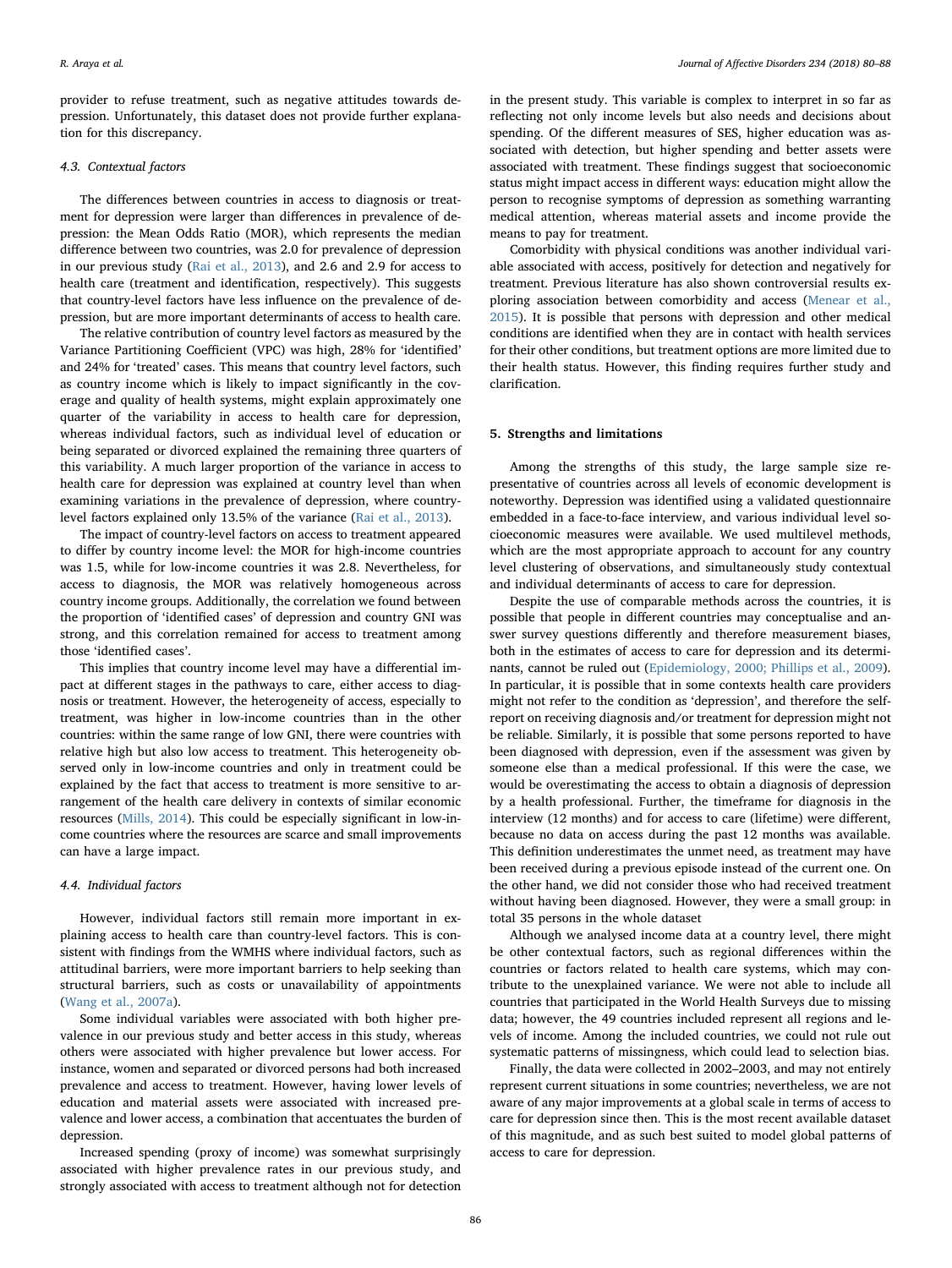provider to refuse treatment, such as negative attitudes towards depression. Unfortunately, this dataset does not provide further explanation for this discrepancy.

### 4.3. Contextual factors

The differences between countries in access to diagnosis or treatment for depression were larger than differences in prevalence of depression: the Mean Odds Ratio (MOR), which represents the median difference between two countries, was 2.0 for prevalence of depression in our previous study [\(Rai et al., 2013\)](#page-7-22), and 2.6 and 2.9 for access to health care (treatment and identification, respectively). This suggests that country-level factors have less influence on the prevalence of depression, but are more important determinants of access to health care.

The relative contribution of country level factors as measured by the Variance Partitioning Coefficient (VPC) was high, 28% for 'identified' and 24% for 'treated' cases. This means that country level factors, such as country income which is likely to impact significantly in the coverage and quality of health systems, might explain approximately one quarter of the variability in access to health care for depression, whereas individual factors, such as individual level of education or being separated or divorced explained the remaining three quarters of this variability. A much larger proportion of the variance in access to health care for depression was explained at country level than when examining variations in the prevalence of depression, where countrylevel factors explained only 13.5% of the variance ([Rai et al., 2013\)](#page-7-22).

The impact of country-level factors on access to treatment appeared to differ by country income level: the MOR for high-income countries was 1.5, while for low-income countries it was 2.8. Nevertheless, for access to diagnosis, the MOR was relatively homogeneous across country income groups. Additionally, the correlation we found between the proportion of 'identified cases' of depression and country GNI was strong, and this correlation remained for access to treatment among those 'identified cases'.

This implies that country income level may have a differential impact at different stages in the pathways to care, either access to diagnosis or treatment. However, the heterogeneity of access, especially to treatment, was higher in low-income countries than in the other countries: within the same range of low GNI, there were countries with relative high but also low access to treatment. This heterogeneity observed only in low-income countries and only in treatment could be explained by the fact that access to treatment is more sensitive to arrangement of the health care delivery in contexts of similar economic resources ([Mills, 2014\)](#page-7-24). This could be especially significant in low-income countries where the resources are scarce and small improvements can have a large impact.

### 4.4. Individual factors

However, individual factors still remain more important in explaining access to health care than country-level factors. This is consistent with findings from the WMHS where individual factors, such as attitudinal barriers, were more important barriers to help seeking than structural barriers, such as costs or unavailability of appointments ([Wang et al., 2007a](#page-8-5)).

Some individual variables were associated with both higher prevalence in our previous study and better access in this study, whereas others were associated with higher prevalence but lower access. For instance, women and separated or divorced persons had both increased prevalence and access to treatment. However, having lower levels of education and material assets were associated with increased prevalence and lower access, a combination that accentuates the burden of depression.

Increased spending (proxy of income) was somewhat surprisingly associated with higher prevalence rates in our previous study, and strongly associated with access to treatment although not for detection in the present study. This variable is complex to interpret in so far as reflecting not only income levels but also needs and decisions about spending. Of the different measures of SES, higher education was associated with detection, but higher spending and better assets were associated with treatment. These findings suggest that socioeconomic status might impact access in different ways: education might allow the person to recognise symptoms of depression as something warranting medical attention, whereas material assets and income provide the means to pay for treatment.

Comorbidity with physical conditions was another individual variable associated with access, positively for detection and negatively for treatment. Previous literature has also shown controversial results exploring association between comorbidity and access ([Menear et al.,](#page-7-25) [2015\)](#page-7-25). It is possible that persons with depression and other medical conditions are identified when they are in contact with health services for their other conditions, but treatment options are more limited due to their health status. However, this finding requires further study and clarification.

### 5. Strengths and limitations

Among the strengths of this study, the large sample size representative of countries across all levels of economic development is noteworthy. Depression was identified using a validated questionnaire embedded in a face-to-face interview, and various individual level socioeconomic measures were available. We used multilevel methods, which are the most appropriate approach to account for any country level clustering of observations, and simultaneously study contextual and individual determinants of access to care for depression.

Despite the use of comparable methods across the countries, it is possible that people in different countries may conceptualise and answer survey questions differently and therefore measurement biases, both in the estimates of access to care for depression and its determinants, cannot be ruled out [\(Epidemiology, 2000; Phillips et al., 2009](#page-7-26)). In particular, it is possible that in some contexts health care providers might not refer to the condition as 'depression', and therefore the selfreport on receiving diagnosis and/or treatment for depression might not be reliable. Similarly, it is possible that some persons reported to have been diagnosed with depression, even if the assessment was given by someone else than a medical professional. If this were the case, we would be overestimating the access to obtain a diagnosis of depression by a health professional. Further, the timeframe for diagnosis in the interview (12 months) and for access to care (lifetime) were different, because no data on access during the past 12 months was available. This definition underestimates the unmet need, as treatment may have been received during a previous episode instead of the current one. On the other hand, we did not consider those who had received treatment without having been diagnosed. However, they were a small group: in total 35 persons in the whole dataset

Although we analysed income data at a country level, there might be other contextual factors, such as regional differences within the countries or factors related to health care systems, which may contribute to the unexplained variance. We were not able to include all countries that participated in the World Health Surveys due to missing data; however, the 49 countries included represent all regions and levels of income. Among the included countries, we could not rule out systematic patterns of missingness, which could lead to selection bias.

Finally, the data were collected in 2002–2003, and may not entirely represent current situations in some countries; nevertheless, we are not aware of any major improvements at a global scale in terms of access to care for depression since then. This is the most recent available dataset of this magnitude, and as such best suited to model global patterns of access to care for depression.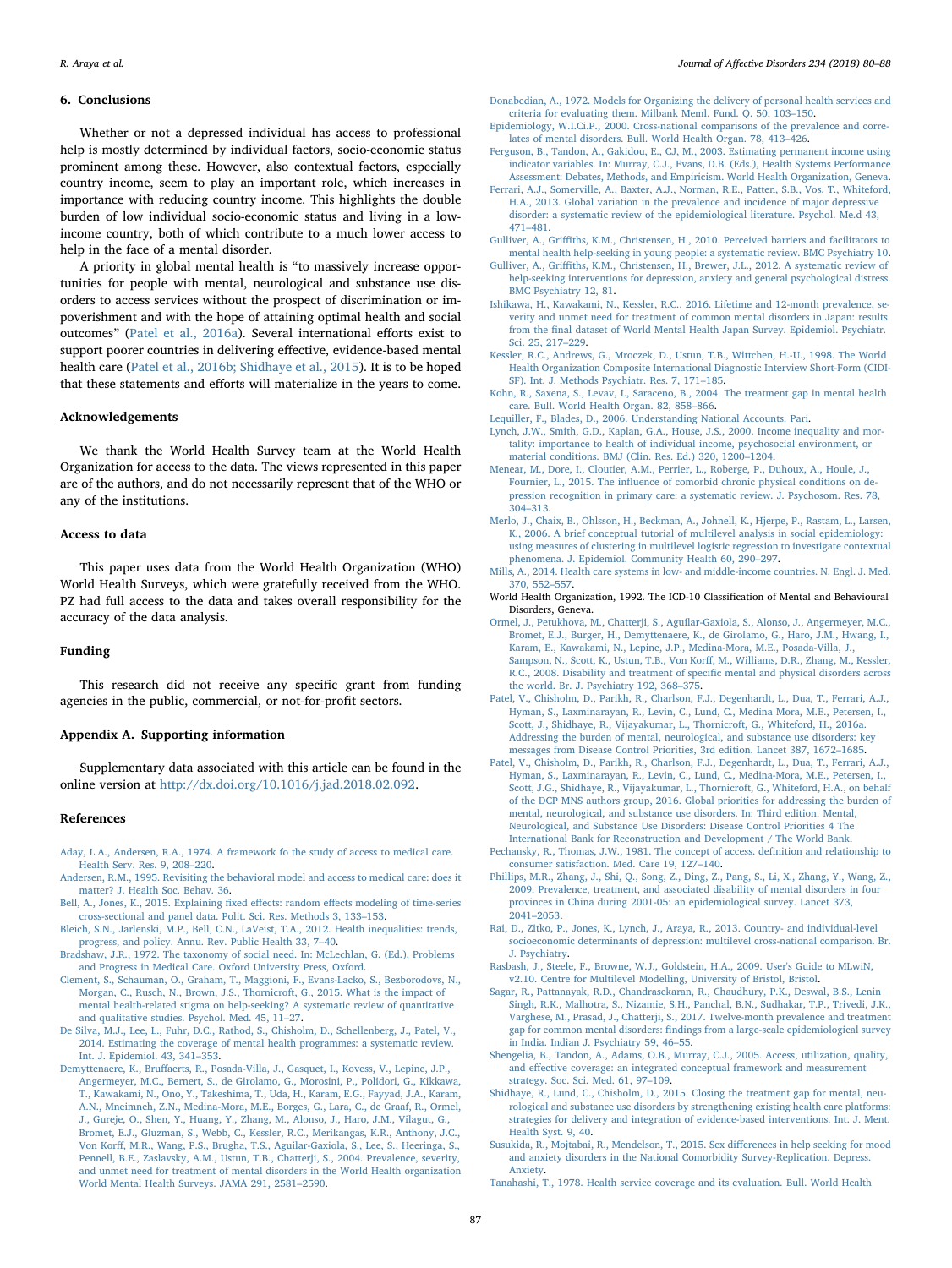### 6. Conclusions

Whether or not a depressed individual has access to professional help is mostly determined by individual factors, socio-economic status prominent among these. However, also contextual factors, especially country income, seem to play an important role, which increases in importance with reducing country income. This highlights the double burden of low individual socio-economic status and living in a lowincome country, both of which contribute to a much lower access to help in the face of a mental disorder.

A priority in global mental health is "to massively increase opportunities for people with mental, neurological and substance use disorders to access services without the prospect of discrimination or impoverishment and with the hope of attaining optimal health and social outcomes" [\(Patel et al., 2016a\)](#page-7-1). Several international efforts exist to support poorer countries in delivering effective, evidence-based mental health care ([Patel et al., 2016b; Shidhaye et al., 2015\)](#page-7-27). It is to be hoped that these statements and efforts will materialize in the years to come.

### Acknowledgements

We thank the World Health Survey team at the World Health Organization for access to the data. The views represented in this paper are of the authors, and do not necessarily represent that of the WHO or any of the institutions.

### Access to data

This paper uses data from the World Health Organization (WHO) World Health Surveys, which were gratefully received from the WHO. PZ had full access to the data and takes overall responsibility for the accuracy of the data analysis.

### Funding

This research did not receive any specific grant from funding agencies in the public, commercial, or not-for-profit sectors.

### Appendix A. Supporting information

Supplementary data associated with this article can be found in the online version at [http://dx.doi.org/10.1016/j.jad.2018.02.092.](http://dx.doi.org//10.1016/j.jad.2018.02.092)

### References

- <span id="page-7-15"></span>[Aday, L.A., Andersen, R.A., 1974. A framework fo the study of access to medical care.](http://refhub.elsevier.com/S0165-0327(17)31399-X/sbref1) [Health Serv. Res. 9, 208](http://refhub.elsevier.com/S0165-0327(17)31399-X/sbref1)–220.
- <span id="page-7-13"></span>[Andersen, R.M., 1995. Revisiting the behavioral model and access to medical care: does it](http://refhub.elsevier.com/S0165-0327(17)31399-X/sbref2) [matter? J. Health Soc. Behav. 36](http://refhub.elsevier.com/S0165-0327(17)31399-X/sbref2).
- <span id="page-7-21"></span>[Bell, A., Jones, K., 2015. Explaining](http://refhub.elsevier.com/S0165-0327(17)31399-X/sbref3) fixed effects: random effects modeling of time-series [cross-sectional and panel data. Polit. Sci. Res. Methods 3, 133](http://refhub.elsevier.com/S0165-0327(17)31399-X/sbref3)–153.
- <span id="page-7-2"></span>[Bleich, S.N., Jarlenski, M.P., Bell, C.N., LaVeist, T.A., 2012. Health inequalities: trends,](http://refhub.elsevier.com/S0165-0327(17)31399-X/sbref4) [progress, and policy. Annu. Rev. Public Health 33, 7](http://refhub.elsevier.com/S0165-0327(17)31399-X/sbref4)–40.
- [Bradshaw, J.R., 1972. The taxonomy of social need. In: McLechlan, G. \(Ed.\), Problems](http://refhub.elsevier.com/S0165-0327(17)31399-X/sbref5) [and Progress in Medical Care. Oxford University Press, Oxford.](http://refhub.elsevier.com/S0165-0327(17)31399-X/sbref5)
- <span id="page-7-4"></span>[Clement, S., Schauman, O., Graham, T., Maggioni, F., Evans-Lacko, S., Bezborodovs, N.,](http://refhub.elsevier.com/S0165-0327(17)31399-X/sbref6) [Morgan, C., Rusch, N., Brown, J.S., Thornicroft, G., 2015. What is the impact of](http://refhub.elsevier.com/S0165-0327(17)31399-X/sbref6) [mental health-related stigma on help-seeking? A systematic review of quantitative](http://refhub.elsevier.com/S0165-0327(17)31399-X/sbref6) [and qualitative studies. Psychol. Med. 45, 11](http://refhub.elsevier.com/S0165-0327(17)31399-X/sbref6)–27.
- <span id="page-7-0"></span>[De Silva, M.J., Lee, L., Fuhr, D.C., Rathod, S., Chisholm, D., Schellenberg, J., Patel, V.,](http://refhub.elsevier.com/S0165-0327(17)31399-X/sbref7) [2014. Estimating the coverage of mental health programmes: a systematic review.](http://refhub.elsevier.com/S0165-0327(17)31399-X/sbref7) [Int. J. Epidemiol. 43, 341](http://refhub.elsevier.com/S0165-0327(17)31399-X/sbref7)–353.
- <span id="page-7-6"></span>Demyttenaere, K., Bruff[aerts, R., Posada-Villa, J., Gasquet, I., Kovess, V., Lepine, J.P.,](http://refhub.elsevier.com/S0165-0327(17)31399-X/sbref8) [Angermeyer, M.C., Bernert, S., de Girolamo, G., Morosini, P., Polidori, G., Kikkawa,](http://refhub.elsevier.com/S0165-0327(17)31399-X/sbref8) [T., Kawakami, N., Ono, Y., Takeshima, T., Uda, H., Karam, E.G., Fayyad, J.A., Karam,](http://refhub.elsevier.com/S0165-0327(17)31399-X/sbref8) [A.N., Mneimneh, Z.N., Medina-Mora, M.E., Borges, G., Lara, C., de Graaf, R., Ormel,](http://refhub.elsevier.com/S0165-0327(17)31399-X/sbref8) [J., Gureje, O., Shen, Y., Huang, Y., Zhang, M., Alonso, J., Haro, J.M., Vilagut, G.,](http://refhub.elsevier.com/S0165-0327(17)31399-X/sbref8) [Bromet, E.J., Gluzman, S., Webb, C., Kessler, R.C., Merikangas, K.R., Anthony, J.C.,](http://refhub.elsevier.com/S0165-0327(17)31399-X/sbref8) Von Korff[, M.R., Wang, P.S., Brugha, T.S., Aguilar-Gaxiola, S., Lee, S., Heeringa, S.,](http://refhub.elsevier.com/S0165-0327(17)31399-X/sbref8) [Pennell, B.E., Zaslavsky, A.M., Ustun, T.B., Chatterji, S., 2004. Prevalence, severity,](http://refhub.elsevier.com/S0165-0327(17)31399-X/sbref8) [and unmet need for treatment of mental disorders in the World Health organization](http://refhub.elsevier.com/S0165-0327(17)31399-X/sbref8) [World Mental Health Surveys. JAMA 291, 2581](http://refhub.elsevier.com/S0165-0327(17)31399-X/sbref8)–2590.
- [Donabedian, A., 1972. Models for Organizing the delivery of personal health services and](http://refhub.elsevier.com/S0165-0327(17)31399-X/sbref9) [criteria for evaluating them. Milbank Meml. Fund. Q. 50, 103](http://refhub.elsevier.com/S0165-0327(17)31399-X/sbref9)–150.
- <span id="page-7-26"></span>[Epidemiology, W.I.Ci.P., 2000. Cross-national comparisons of the prevalence and corre](http://refhub.elsevier.com/S0165-0327(17)31399-X/sbref10)[lates of mental disorders. Bull. World Health Organ. 78, 413](http://refhub.elsevier.com/S0165-0327(17)31399-X/sbref10)–426.
- <span id="page-7-17"></span>[Ferguson, B., Tandon, A., Gakidou, E., CJ, M., 2003. Estimating permanent income using](http://refhub.elsevier.com/S0165-0327(17)31399-X/sbref11) [indicator variables. In: Murray, C.J., Evans, D.B. \(Eds.\), Health Systems Performance](http://refhub.elsevier.com/S0165-0327(17)31399-X/sbref11) [Assessment: Debates, Methods, and Empiricism. World Health Organization, Geneva.](http://refhub.elsevier.com/S0165-0327(17)31399-X/sbref11)
- [Ferrari, A.J., Somerville, A., Baxter, A.J., Norman, R.E., Patten, S.B., Vos, T., Whiteford,](http://refhub.elsevier.com/S0165-0327(17)31399-X/sbref12) [H.A., 2013. Global variation in the prevalence and incidence of major depressive](http://refhub.elsevier.com/S0165-0327(17)31399-X/sbref12) [disorder: a systematic review of the epidemiological literature. Psychol. Me.d 43,](http://refhub.elsevier.com/S0165-0327(17)31399-X/sbref12) 471–[481](http://refhub.elsevier.com/S0165-0327(17)31399-X/sbref12).
- <span id="page-7-5"></span>Gulliver, A., Griffi[ths, K.M., Christensen, H., 2010. Perceived barriers and facilitators to](http://refhub.elsevier.com/S0165-0327(17)31399-X/sbref13) [mental health help-seeking in young people: a systematic review. BMC Psychiatry 10.](http://refhub.elsevier.com/S0165-0327(17)31399-X/sbref13)
- <span id="page-7-9"></span>Gulliver, A., Griffi[ths, K.M., Christensen, H., Brewer, J.L., 2012. A systematic review of](http://refhub.elsevier.com/S0165-0327(17)31399-X/sbref14) [help-seeking interventions for depression, anxiety and general psychological distress.](http://refhub.elsevier.com/S0165-0327(17)31399-X/sbref14) [BMC Psychiatry 12, 81.](http://refhub.elsevier.com/S0165-0327(17)31399-X/sbref14)
- <span id="page-7-8"></span>[Ishikawa, H., Kawakami, N., Kessler, R.C., 2016. Lifetime and 12-month prevalence, se](http://refhub.elsevier.com/S0165-0327(17)31399-X/sbref15)[verity and unmet need for treatment of common mental disorders in Japan: results](http://refhub.elsevier.com/S0165-0327(17)31399-X/sbref15) from the fi[nal dataset of World Mental Health Japan Survey. Epidemiol. Psychiatr.](http://refhub.elsevier.com/S0165-0327(17)31399-X/sbref15) [Sci. 25, 217](http://refhub.elsevier.com/S0165-0327(17)31399-X/sbref15)–229.
- <span id="page-7-11"></span>[Kessler, R.C., Andrews, G., Mroczek, D., Ustun, T.B., Wittchen, H.-U., 1998. The World](http://refhub.elsevier.com/S0165-0327(17)31399-X/sbref16) [Health Organization Composite International Diagnostic Interview Short-Form \(CIDI-](http://refhub.elsevier.com/S0165-0327(17)31399-X/sbref16)[SF\). Int. J. Methods Psychiatr. Res. 7, 171](http://refhub.elsevier.com/S0165-0327(17)31399-X/sbref16)–185.
- <span id="page-7-10"></span>Kohn, [R., Saxena, S., Levav, I., Saraceno, B., 2004. The treatment gap in mental health](http://refhub.elsevier.com/S0165-0327(17)31399-X/sbref17) [care. Bull. World Health Organ. 82, 858](http://refhub.elsevier.com/S0165-0327(17)31399-X/sbref17)–866.
- <span id="page-7-18"></span>[Lequiller, F., Blades, D., 2006. Understanding National Accounts. Pari.](http://refhub.elsevier.com/S0165-0327(17)31399-X/sbref18)
- <span id="page-7-19"></span>[Lynch, J.W., Smith, G.D., Kaplan, G.A., House, J.S., 2000. Income inequality and mor](http://refhub.elsevier.com/S0165-0327(17)31399-X/sbref19)[tality: importance to health of individual income, psychosocial environment, or](http://refhub.elsevier.com/S0165-0327(17)31399-X/sbref19) [material conditions. BMJ \(Clin. Res. Ed.\) 320, 1200](http://refhub.elsevier.com/S0165-0327(17)31399-X/sbref19)–1204.
- <span id="page-7-25"></span>[Menear, M., Dore, I., Cloutier, A.M., Perrier, L., Roberge, P., Duhoux, A., Houle, J.,](http://refhub.elsevier.com/S0165-0327(17)31399-X/sbref20) Fournier, L., 2015. The infl[uence of comorbid chronic physical conditions on de](http://refhub.elsevier.com/S0165-0327(17)31399-X/sbref20)[pression recognition in primary care: a systematic review. J. Psychosom. Res. 78,](http://refhub.elsevier.com/S0165-0327(17)31399-X/sbref20) 304–[313](http://refhub.elsevier.com/S0165-0327(17)31399-X/sbref20).
- <span id="page-7-20"></span>[Merlo, J., Chaix, B., Ohlsson, H., Beckman, A., Johnell, K., Hjerpe, P., Rastam, L., Larsen,](http://refhub.elsevier.com/S0165-0327(17)31399-X/sbref21) [K., 2006. A brief conceptual tutorial of multilevel analysis in social epidemiology:](http://refhub.elsevier.com/S0165-0327(17)31399-X/sbref21) [using measures of clustering in multilevel logistic regression to investigate contextual](http://refhub.elsevier.com/S0165-0327(17)31399-X/sbref21) [phenomena. J. Epidemiol. Community Health 60, 290](http://refhub.elsevier.com/S0165-0327(17)31399-X/sbref21)–297.
- <span id="page-7-24"></span>[Mills, A., 2014. Health care systems in low- and middle-income countries. N. Engl. J. Med.](http://refhub.elsevier.com/S0165-0327(17)31399-X/sbref22) [370, 552](http://refhub.elsevier.com/S0165-0327(17)31399-X/sbref22)–557.
- <span id="page-7-12"></span>World Health Organization, 1992. The ICD-10 Classification of Mental and Behavioural Disorders, Geneva.
- <span id="page-7-23"></span>[Ormel, J., Petukhova, M., Chatterji, S., Aguilar-Gaxiola, S., Alonso, J., Angermeyer, M.C.,](http://refhub.elsevier.com/S0165-0327(17)31399-X/sbref23) [Bromet, E.J., Burger, H., Demyttenaere, K., de Girolamo, G., Haro, J.M., Hwang, I.,](http://refhub.elsevier.com/S0165-0327(17)31399-X/sbref23) [Karam, E., Kawakami, N., Lepine, J.P., Medina-Mora, M.E., Posada-Villa, J.,](http://refhub.elsevier.com/S0165-0327(17)31399-X/sbref23) [Sampson, N., Scott, K., Ustun, T.B., Von Kor](http://refhub.elsevier.com/S0165-0327(17)31399-X/sbref23)ff, M., Williams, D.R., Zhang, M., Kessler, [R.C., 2008. Disability and treatment of speci](http://refhub.elsevier.com/S0165-0327(17)31399-X/sbref23)fic mental and physical disorders across [the world. Br. J. Psychiatry 192, 368](http://refhub.elsevier.com/S0165-0327(17)31399-X/sbref23)–375.
- <span id="page-7-1"></span>[Patel, V., Chisholm, D., Parikh, R., Charlson, F.J., Degenhardt, L., Dua, T., Ferrari, A.J.,](http://refhub.elsevier.com/S0165-0327(17)31399-X/sbref24) [Hyman, S., Laxminarayan, R., Levin, C., Lund, C., Medina Mora, M.E., Petersen, I.,](http://refhub.elsevier.com/S0165-0327(17)31399-X/sbref24) [Scott, J., Shidhaye, R., Vijayakumar, L., Thornicroft, G., Whiteford, H., 2016a.](http://refhub.elsevier.com/S0165-0327(17)31399-X/sbref24) [Addressing the burden of mental, neurological, and substance use disorders: key](http://refhub.elsevier.com/S0165-0327(17)31399-X/sbref24) [messages from Disease Control Priorities, 3rd edition. Lancet 387, 1672](http://refhub.elsevier.com/S0165-0327(17)31399-X/sbref24)–1685.
- <span id="page-7-27"></span>[Patel, V., Chisholm, D., Parikh, R., Charlson, F.J., Degenhardt, L., Dua, T., Ferrari, A.J.,](http://refhub.elsevier.com/S0165-0327(17)31399-X/sbref25) [Hyman, S., Laxminarayan, R., Levin, C., Lund, C., Medina-Mora, M.E., Petersen, I.,](http://refhub.elsevier.com/S0165-0327(17)31399-X/sbref25) [Scott, J.G., Shidhaye, R., Vijayakumar, L., Thornicroft, G., Whiteford, H.A., on behalf](http://refhub.elsevier.com/S0165-0327(17)31399-X/sbref25) [of the DCP MNS authors group, 2016. Global priorities for addressing the burden of](http://refhub.elsevier.com/S0165-0327(17)31399-X/sbref25) [mental, neurological, and substance use disorders. In: Third edition. Mental,](http://refhub.elsevier.com/S0165-0327(17)31399-X/sbref25) [Neurological, and Substance Use Disorders: Disease Control Priorities 4 The](http://refhub.elsevier.com/S0165-0327(17)31399-X/sbref25) [International Bank for Reconstruction and Development / The World Bank.](http://refhub.elsevier.com/S0165-0327(17)31399-X/sbref25)
- <span id="page-7-14"></span>[Pechansky, R., Thomas, J.W., 1981. The concept of access. de](http://refhub.elsevier.com/S0165-0327(17)31399-X/sbref26)finition and relationship to [consumer satisfaction. Med. Care 19, 127](http://refhub.elsevier.com/S0165-0327(17)31399-X/sbref26)–140.
- [Phillips, M.R., Zhang, J., Shi, Q., Song, Z., Ding, Z., Pang, S., Li, X., Zhang, Y., Wang, Z.,](http://refhub.elsevier.com/S0165-0327(17)31399-X/sbref27) [2009. Prevalence, treatment, and associated disability of mental disorders in four](http://refhub.elsevier.com/S0165-0327(17)31399-X/sbref27) [provinces in China during 2001-05: an epidemiological survey. Lancet 373,](http://refhub.elsevier.com/S0165-0327(17)31399-X/sbref27) 2041–[2053](http://refhub.elsevier.com/S0165-0327(17)31399-X/sbref27).
- <span id="page-7-22"></span>[Rai, D., Zitko, P., Jones, K., Lynch, J., Araya, R., 2013. Country- and individual-level](http://refhub.elsevier.com/S0165-0327(17)31399-X/sbref28) [socioeconomic determinants of depression: multilevel cross-national comparison. Br.](http://refhub.elsevier.com/S0165-0327(17)31399-X/sbref28) [J. Psychiatry](http://refhub.elsevier.com/S0165-0327(17)31399-X/sbref28).
- [Rasbash, J., Steele, F., Browne, W.J., Goldstein, H.A., 2009. User's Guide to MLwiN,](http://refhub.elsevier.com/S0165-0327(17)31399-X/sbref29) [v2.10. Centre for Multilevel Modelling, University of Bristol, Bristol.](http://refhub.elsevier.com/S0165-0327(17)31399-X/sbref29)
- <span id="page-7-7"></span>[Sagar, R., Pattanayak, R.D., Chandrasekaran, R., Chaudhury, P.K., Deswal, B.S., Lenin](http://refhub.elsevier.com/S0165-0327(17)31399-X/sbref30) [Singh, R.K., Malhotra, S., Nizamie, S.H., Panchal, B.N., Sudhakar, T.P., Trivedi, J.K.,](http://refhub.elsevier.com/S0165-0327(17)31399-X/sbref30) [Varghese, M., Prasad, J., Chatterji, S., 2017. Twelve-month prevalence and treatment](http://refhub.elsevier.com/S0165-0327(17)31399-X/sbref30) gap for common mental disorders: fi[ndings from a large-scale epidemiological survey](http://refhub.elsevier.com/S0165-0327(17)31399-X/sbref30) [in India. Indian J. Psychiatry 59, 46](http://refhub.elsevier.com/S0165-0327(17)31399-X/sbref30)–55.
- <span id="page-7-16"></span>[Shengelia, B., Tandon, A., Adams, O.B., Murray, C.J., 2005. Access, utilization, quality,](http://refhub.elsevier.com/S0165-0327(17)31399-X/sbref31) and eff[ective coverage: an integrated conceptual framework and measurement](http://refhub.elsevier.com/S0165-0327(17)31399-X/sbref31) strategy. [Soc. Sci. Med. 61, 97](http://refhub.elsevier.com/S0165-0327(17)31399-X/sbref31)–109.
- [Shidhaye, R., Lund, C., Chisholm, D., 2015. Closing the treatment gap for mental, neu](http://refhub.elsevier.com/S0165-0327(17)31399-X/sbref32)[rological and substance use disorders by strengthening existing health care platforms:](http://refhub.elsevier.com/S0165-0327(17)31399-X/sbref32) [strategies for delivery and integration of evidence-based interventions. Int. J. Ment.](http://refhub.elsevier.com/S0165-0327(17)31399-X/sbref32) [Health Syst. 9, 40.](http://refhub.elsevier.com/S0165-0327(17)31399-X/sbref32)
- <span id="page-7-3"></span>[Susukida, R., Mojtabai, R., Mendelson, T., 2015. Sex di](http://refhub.elsevier.com/S0165-0327(17)31399-X/sbref33)fferences in help seeking for mood [and anxiety disorders in the National Comorbidity Survey-Replication. Depress.](http://refhub.elsevier.com/S0165-0327(17)31399-X/sbref33) [Anxiety](http://refhub.elsevier.com/S0165-0327(17)31399-X/sbref33).
- [Tanahashi, T., 1978. Health service coverage and its evaluation. Bull. World Health](http://refhub.elsevier.com/S0165-0327(17)31399-X/sbref34)